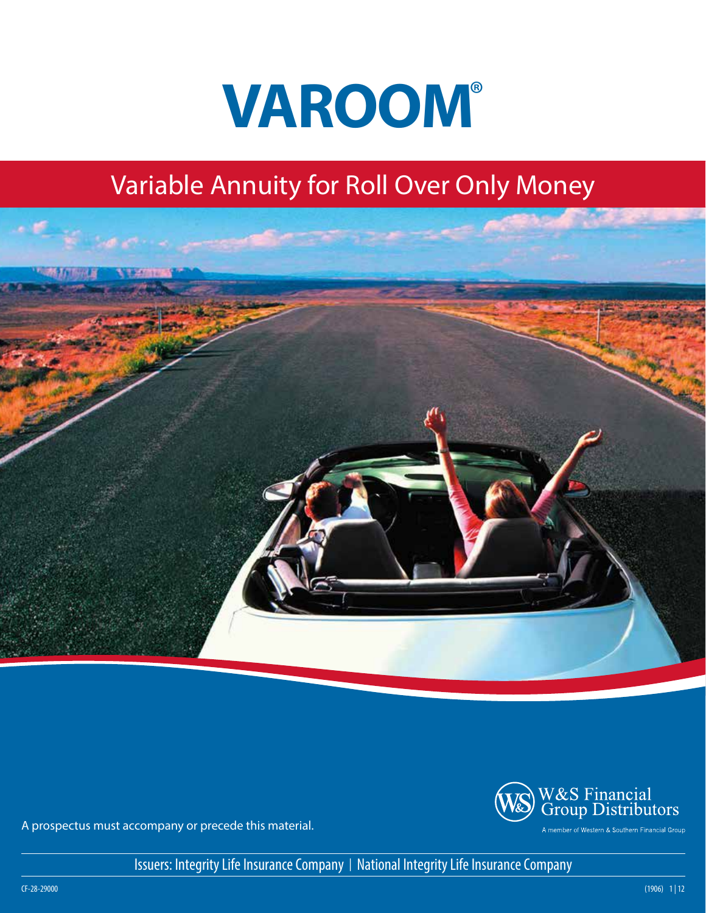

# Variable Annuity for Roll Over Only Money





A prospectus must accompany or precede this material.

Issuers: Integrity Life Insurance Company | National Integrity Life Insurance Company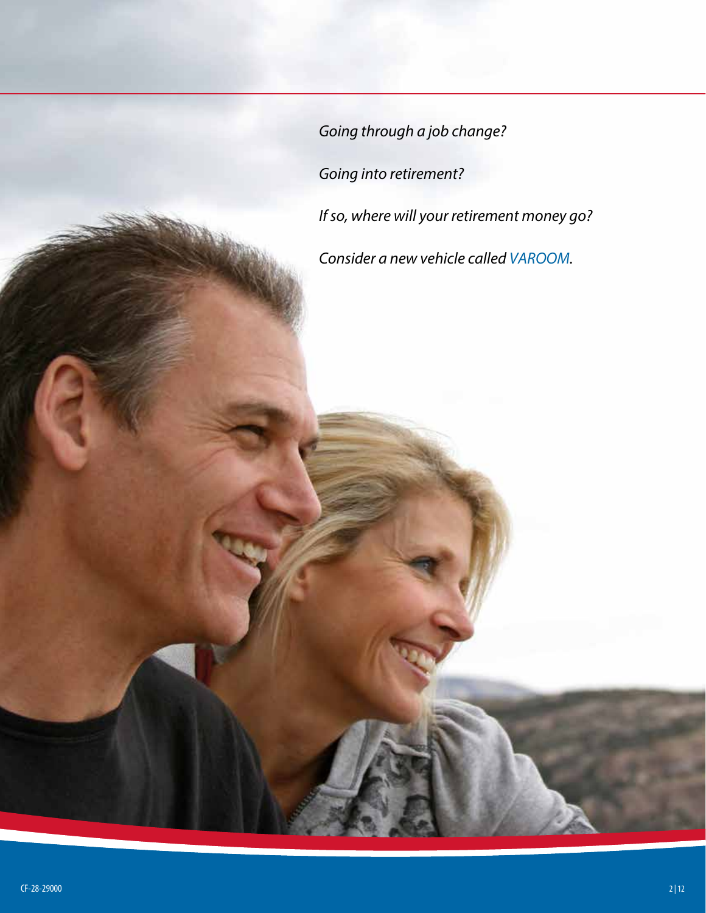*Going through a job change? Going into retirement? If so, where will your retirement money go? Consider a new vehicle called VAROOM.*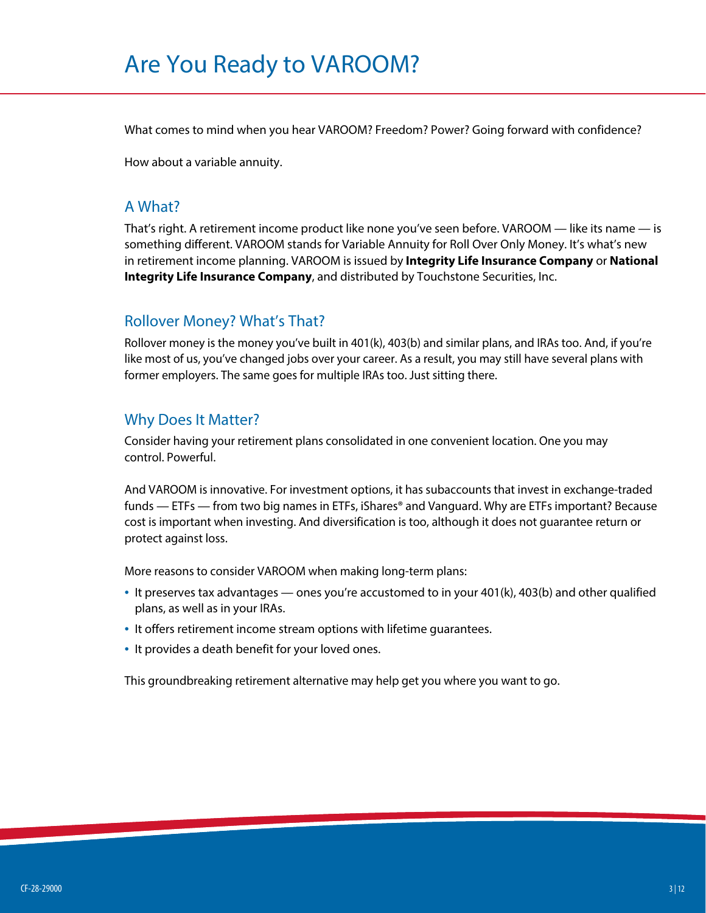# Are You Ready to VAROOM?

What comes to mind when you hear VAROOM? Freedom? Power? Going forward with confidence?

How about a variable annuity.

#### A What?

That's right. A retirement income product like none you've seen before. VAROOM — like its name — is something different. VAROOM stands for Variable Annuity for Roll Over Only Money. It's what's new in retirement income planning. VAROOM is issued by **Integrity Life Insurance Company** or **National Integrity Life Insurance Company**, and distributed by Touchstone Securities, Inc.

#### Rollover Money? What's That?

Rollover money is the money you've built in 401(k), 403(b) and similar plans, and IRAs too. And, if you're like most of us, you've changed jobs over your career. As a result, you may still have several plans with former employers. The same goes for multiple IRAs too. Just sitting there.

#### Why Does It Matter?

Consider having your retirement plans consolidated in one convenient location. One you may control. Powerful.

And VAROOM is innovative. For investment options, it has subaccounts that invest in exchange-traded funds — ETFs — from two big names in ETFs, iShares® and Vanguard. Why are ETFs important? Because cost is important when investing. And diversification is too, although it does not guarantee return or protect against loss.

More reasons to consider VAROOM when making long-term plans:

- It preserves tax advantages ones you're accustomed to in your 401(k), 403(b) and other qualified plans, as well as in your IRAs.
- It offers retirement income stream options with lifetime guarantees.
- It provides a death benefit for your loved ones.

This groundbreaking retirement alternative may help get you where you want to go.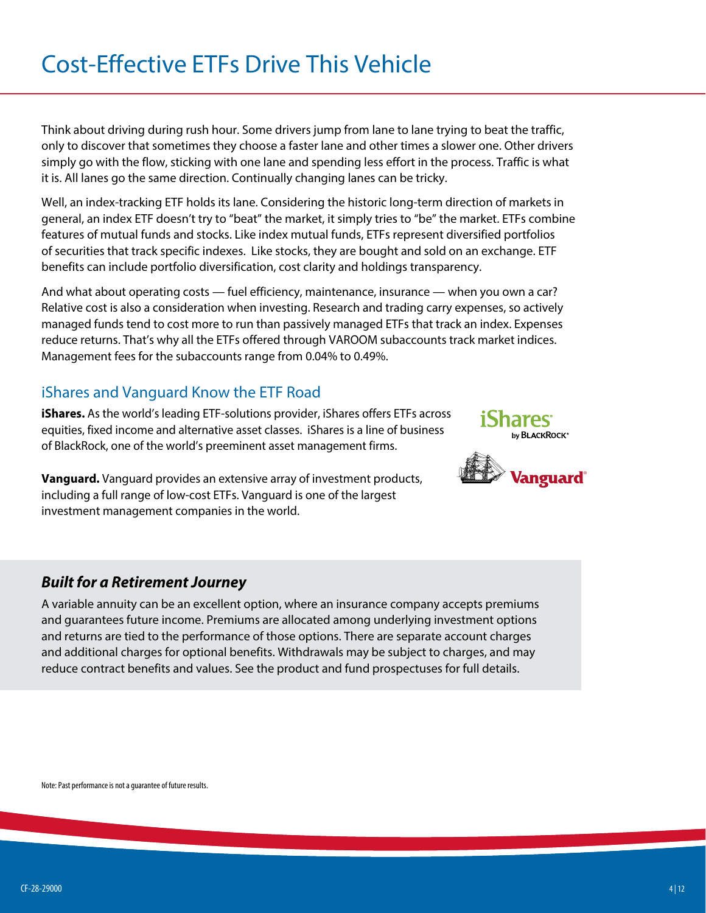# Cost-Effective ETFs Drive This Vehicle

Think about driving during rush hour. Some drivers jump from lane to lane trying to beat the traffic, only to discover that sometimes they choose a faster lane and other times a slower one. Other drivers simply go with the flow, sticking with one lane and spending less effort in the process. Traffic is what it is. All lanes go the same direction. Continually changing lanes can be tricky.

Well, an index-tracking ETF holds its lane. Considering the historic long-term direction of markets in general, an index ETF doesn't try to "beat" the market, it simply tries to "be" the market. ETFs combine features of mutual funds and stocks. Like index mutual funds, ETFs represent diversified portfolios of securities that track specific indexes. Like stocks, they are bought and sold on an exchange. ETF benefits can include portfolio diversification, cost clarity and holdings transparency.

And what about operating costs — fuel efficiency, maintenance, insurance — when you own a car? Relative cost is also a consideration when investing. Research and trading carry expenses, so actively managed funds tend to cost more to run than passively managed ETFs that track an index. Expenses reduce returns. That's why all the ETFs offered through VAROOM subaccounts track market indices. Management fees for the subaccounts range from 0.04% to 0.49%.

# iShares and Vanguard Know the ETF Road

**iShares.** As the world's leading ETF-solutions provider, iShares offers ETFs across equities, fixed income and alternative asset classes. iShares is a line of business of BlackRock, one of the world's preeminent asset management firms.

**Vanguard.** Vanguard provides an extensive array of investment products, including a full range of low-cost ETFs. Vanguard is one of the largest investment management companies in the world.





#### *Built for a Retirement Journey*

A variable annuity can be an excellent option, where an insurance company accepts premiums and guarantees future income. Premiums are allocated among underlying investment options and returns are tied to the performance of those options. There are separate account charges and additional charges for optional benefits. Withdrawals may be subject to charges, and may reduce contract benefits and values. See the product and fund prospectuses for full details.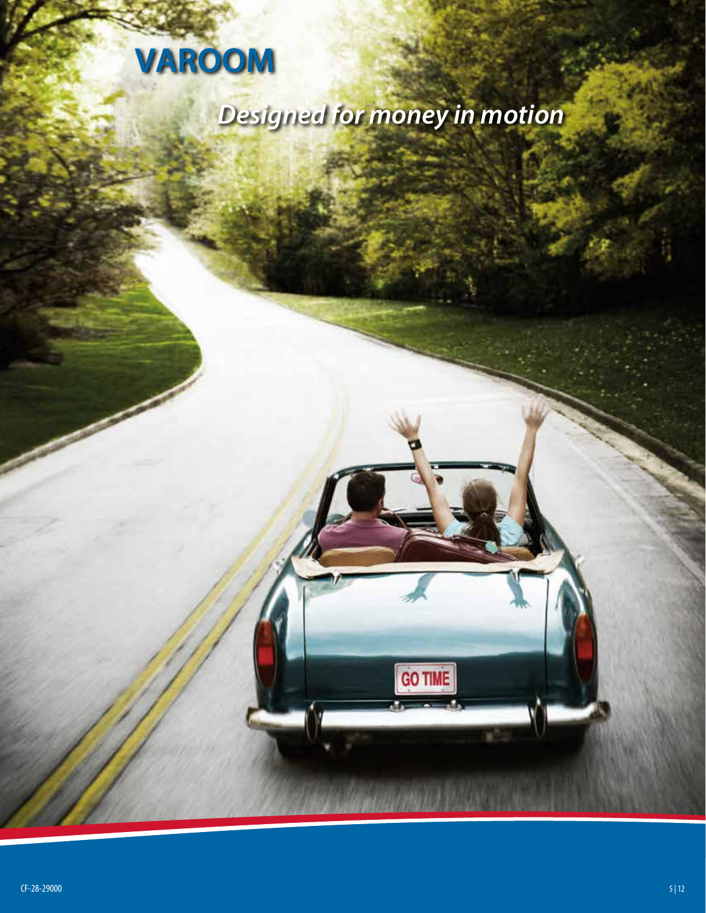

# *Designed for money in motion*

GO TIME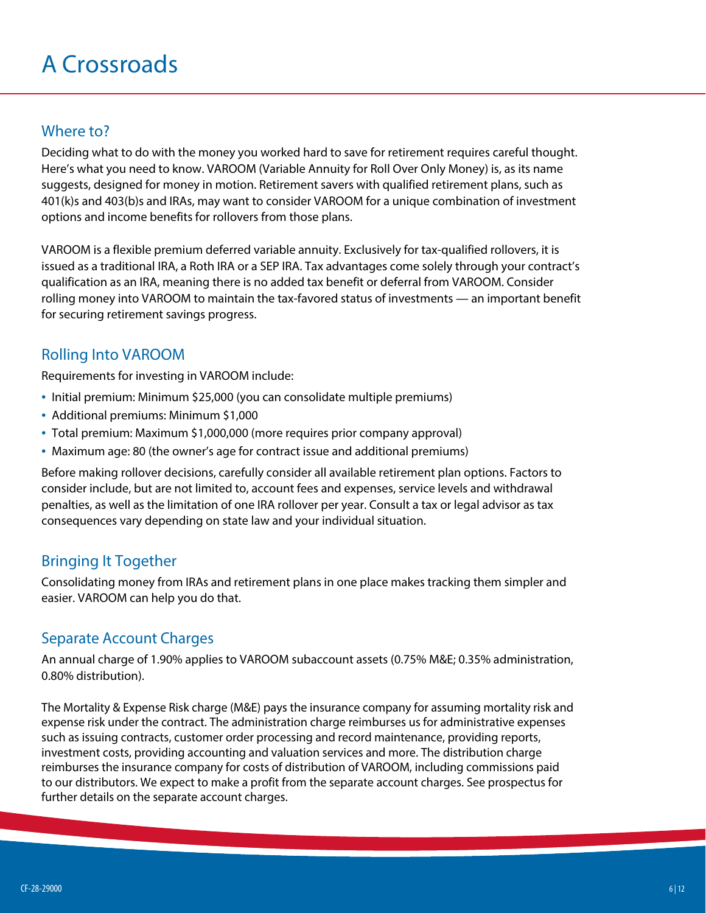# A Crossroads

### Where to?

Deciding what to do with the money you worked hard to save for retirement requires careful thought. Here's what you need to know. VAROOM (Variable Annuity for Roll Over Only Money) is, as its name suggests, designed for money in motion. Retirement savers with qualified retirement plans, such as 401(k)s and 403(b)s and IRAs, may want to consider VAROOM for a unique combination of investment options and income benefits for rollovers from those plans.

VAROOM is a flexible premium deferred variable annuity. Exclusively for tax-qualified rollovers, it is issued as a traditional IRA, a Roth IRA or a SEP IRA. Tax advantages come solely through your contract's qualification as an IRA, meaning there is no added tax benefit or deferral from VAROOM. Consider rolling money into VAROOM to maintain the tax-favored status of investments — an important benefit for securing retirement savings progress.

## Rolling Into VAROOM

Requirements for investing in VAROOM include:

- Initial premium: Minimum \$25,000 (you can consolidate multiple premiums)
- Additional premiums: Minimum \$1,000
- Total premium: Maximum \$1,000,000 (more requires prior company approval)
- Maximum age: 80 (the owner's age for contract issue and additional premiums)

Before making rollover decisions, carefully consider all available retirement plan options. Factors to consider include, but are not limited to, account fees and expenses, service levels and withdrawal penalties, as well as the limitation of one IRA rollover per year. Consult a tax or legal advisor as tax consequences vary depending on state law and your individual situation.

### Bringing It Together

Consolidating money from IRAs and retirement plans in one place makes tracking them simpler and easier. VAROOM can help you do that.

### Separate Account Charges

An annual charge of 1.90% applies to VAROOM subaccount assets (0.75% M&E; 0.35% administration, 0.80% distribution).

The Mortality & Expense Risk charge (M&E) pays the insurance company for assuming mortality risk and expense risk under the contract. The administration charge reimburses us for administrative expenses such as issuing contracts, customer order processing and record maintenance, providing reports, investment costs, providing accounting and valuation services and more. The distribution charge reimburses the insurance company for costs of distribution of VAROOM, including commissions paid to our distributors. We expect to make a profit from the separate account charges. See prospectus for further details on the separate account charges.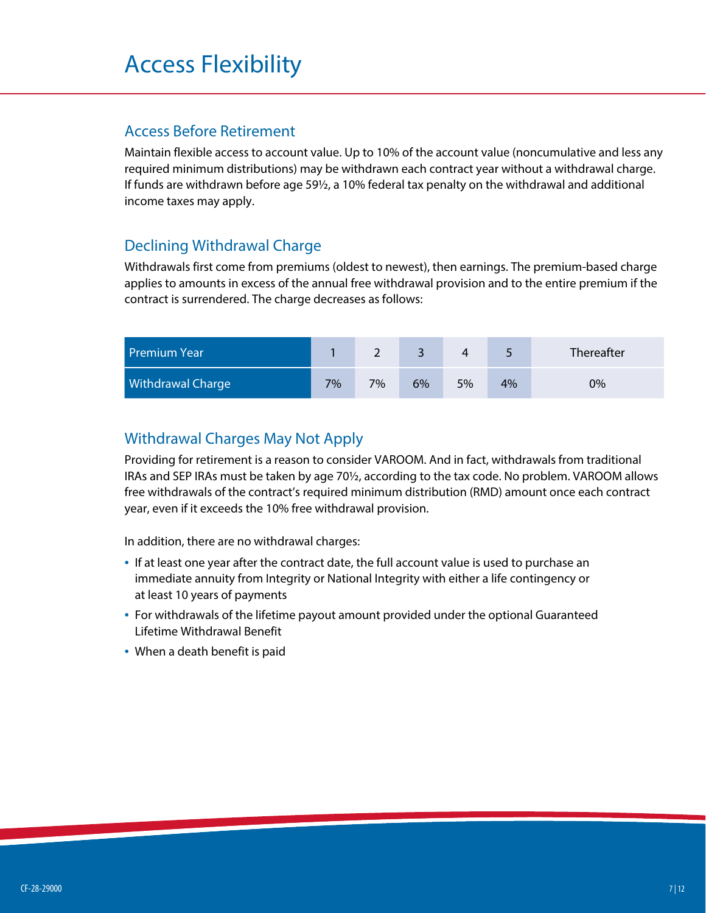#### Access Before Retirement

Maintain flexible access to account value. Up to 10% of the account value (noncumulative and less any required minimum distributions) may be withdrawn each contract year without a withdrawal charge. If funds are withdrawn before age 59½, a 10% federal tax penalty on the withdrawal and additional income taxes may apply.

# Declining Withdrawal Charge

Withdrawals first come from premiums (oldest to newest), then earnings. The premium-based charge applies to amounts in excess of the annual free withdrawal provision and to the entire premium if the contract is surrendered. The charge decreases as follows:

| <b>Premium Year</b>      |    |    |    |    |    | Thereafter |
|--------------------------|----|----|----|----|----|------------|
| <b>Withdrawal Charge</b> | 7% | 7% | 6% | 5% | 4% | 0%         |

## Withdrawal Charges May Not Apply

Providing for retirement is a reason to consider VAROOM. And in fact, withdrawals from traditional IRAs and SEP IRAs must be taken by age 70½, according to the tax code. No problem. VAROOM allows free withdrawals of the contract's required minimum distribution (RMD) amount once each contract year, even if it exceeds the 10% free withdrawal provision.

In addition, there are no withdrawal charges:

- If at least one year after the contract date, the full account value is used to purchase an immediate annuity from Integrity or National Integrity with either a life contingency or at least 10 years of payments
- For withdrawals of the lifetime payout amount provided under the optional Guaranteed Lifetime Withdrawal Benefit
- When a death benefit is paid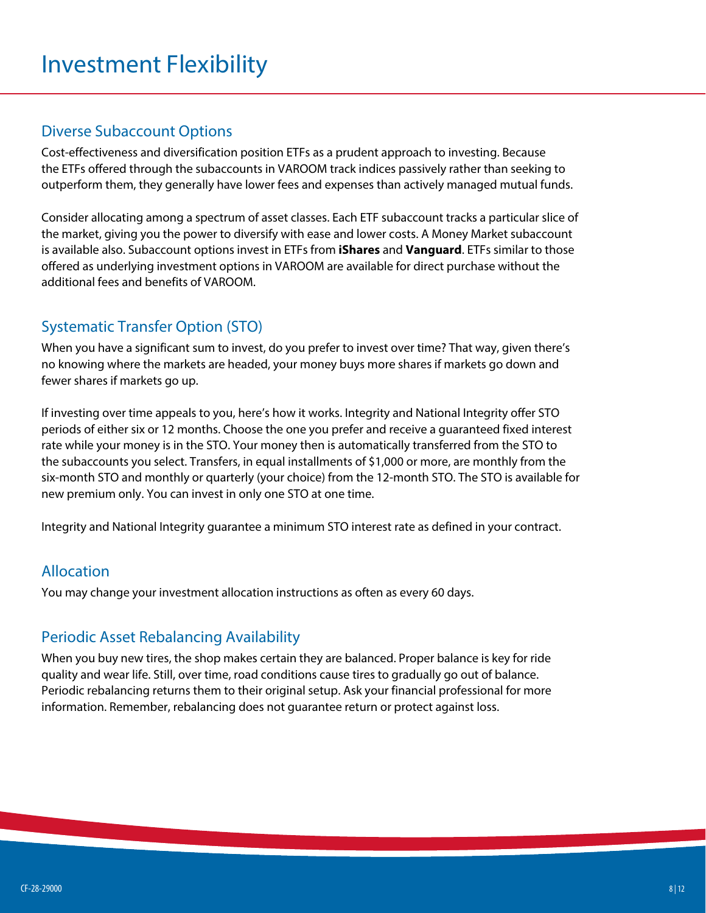# Investment Flexibility

#### Diverse Subaccount Options

Cost-effectiveness and diversification position ETFs as a prudent approach to investing. Because the ETFs offered through the subaccounts in VAROOM track indices passively rather than seeking to outperform them, they generally have lower fees and expenses than actively managed mutual funds.

Consider allocating among a spectrum of asset classes. Each ETF subaccount tracks a particular slice of the market, giving you the power to diversify with ease and lower costs. A Money Market subaccount is available also. Subaccount options invest in ETFs from **iShares** and **Vanguard**. ETFs similar to those offered as underlying investment options in VAROOM are available for direct purchase without the additional fees and benefits of VAROOM.

## Systematic Transfer Option (STO)

When you have a significant sum to invest, do you prefer to invest over time? That way, given there's no knowing where the markets are headed, your money buys more shares if markets go down and fewer shares if markets go up.

If investing over time appeals to you, here's how it works. Integrity and National Integrity offer STO periods of either six or 12 months. Choose the one you prefer and receive a guaranteed fixed interest rate while your money is in the STO. Your money then is automatically transferred from the STO to the subaccounts you select. Transfers, in equal installments of \$1,000 or more, are monthly from the six-month STO and monthly or quarterly (your choice) from the 12-month STO. The STO is available for new premium only. You can invest in only one STO at one time.

Integrity and National Integrity guarantee a minimum STO interest rate as defined in your contract.

#### Allocation

You may change your investment allocation instructions as often as every 60 days.

#### Periodic Asset Rebalancing Availability

When you buy new tires, the shop makes certain they are balanced. Proper balance is key for ride quality and wear life. Still, over time, road conditions cause tires to gradually go out of balance. Periodic rebalancing returns them to their original setup. Ask your financial professional for more information. Remember, rebalancing does not guarantee return or protect against loss.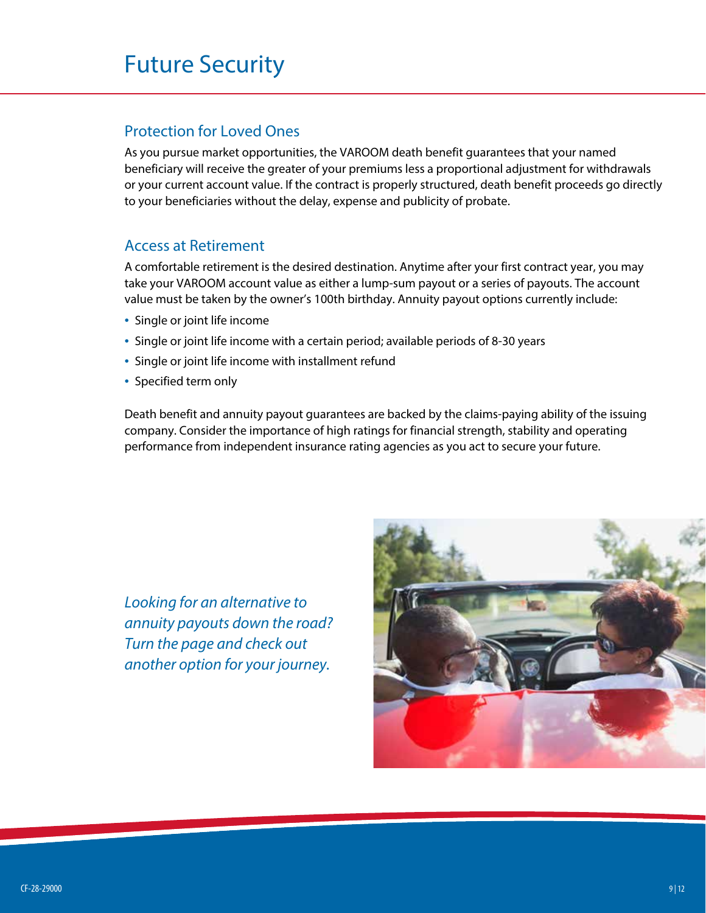# Future Security

#### Protection for Loved Ones

As you pursue market opportunities, the VAROOM death benefit guarantees that your named beneficiary will receive the greater of your premiums less a proportional adjustment for withdrawals or your current account value. If the contract is properly structured, death benefit proceeds go directly to your beneficiaries without the delay, expense and publicity of probate.

#### Access at Retirement

A comfortable retirement is the desired destination. Anytime after your first contract year, you may take your VAROOM account value as either a lump-sum payout or a series of payouts. The account value must be taken by the owner's 100th birthday. Annuity payout options currently include:

- Single or joint life income
- Single or joint life income with a certain period; available periods of 8-30 years
- Single or joint life income with installment refund
- Specified term only

Death benefit and annuity payout guarantees are backed by the claims-paying ability of the issuing company. Consider the importance of high ratings for financial strength, stability and operating performance from independent insurance rating agencies as you act to secure your future.

*Looking for an alternative to annuity payouts down the road? Turn the page and check out another option for your journey.*

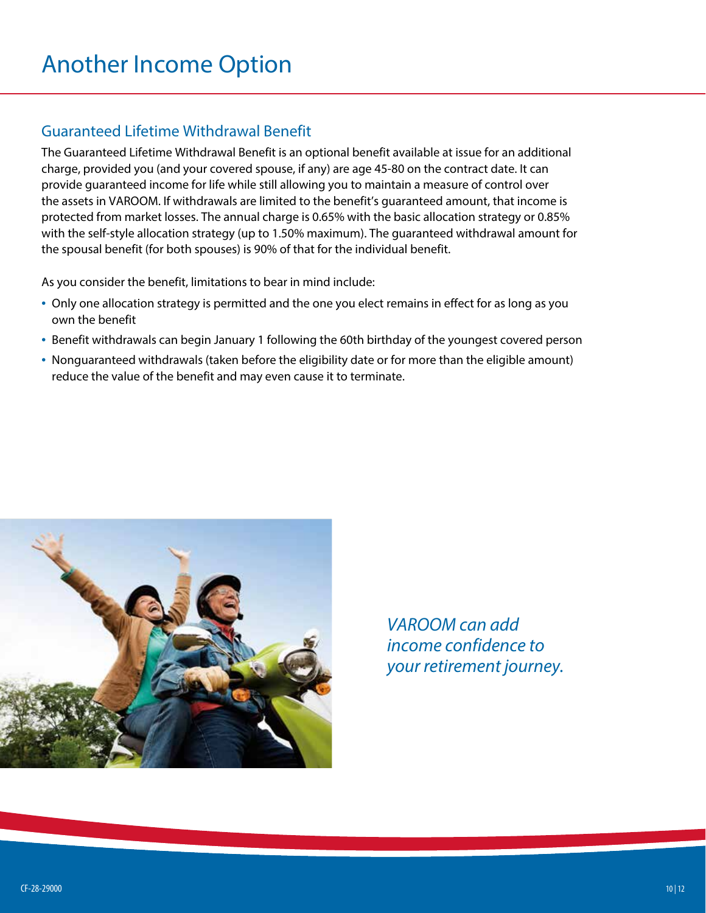## Guaranteed Lifetime Withdrawal Benefit

The Guaranteed Lifetime Withdrawal Benefit is an optional benefit available at issue for an additional charge, provided you (and your covered spouse, if any) are age 45-80 on the contract date. It can provide guaranteed income for life while still allowing you to maintain a measure of control over the assets in VAROOM. If withdrawals are limited to the benefit's guaranteed amount, that income is protected from market losses. The annual charge is 0.65% with the basic allocation strategy or 0.85% with the self-style allocation strategy (up to 1.50% maximum). The guaranteed withdrawal amount for the spousal benefit (for both spouses) is 90% of that for the individual benefit.

As you consider the benefit, limitations to bear in mind include:

- Only one allocation strategy is permitted and the one you elect remains in effect for as long as you own the benefit
- Benefit withdrawals can begin January 1 following the 60th birthday of the youngest covered person
- Nonguaranteed withdrawals (taken before the eligibility date or for more than the eligible amount) reduce the value of the benefit and may even cause it to terminate.



*VAROOM can add income confidence to your retirement journey.*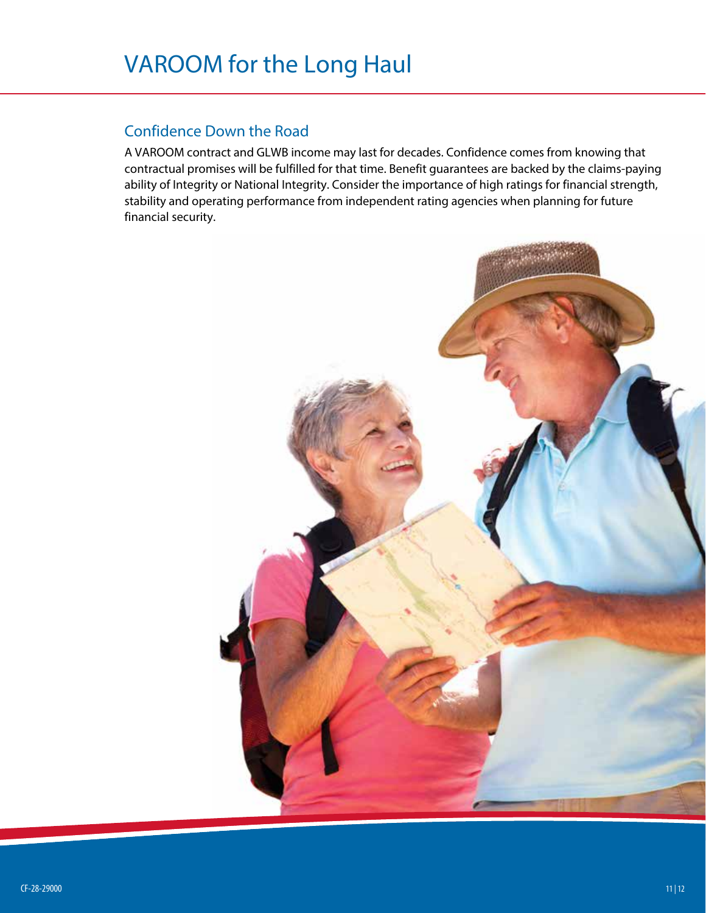### Confidence Down the Road

A VAROOM contract and GLWB income may last for decades. Confidence comes from knowing that contractual promises will be fulfilled for that time. Benefit guarantees are backed by the claims-paying ability of Integrity or National Integrity. Consider the importance of high ratings for financial strength, stability and operating performance from independent rating agencies when planning for future financial security.